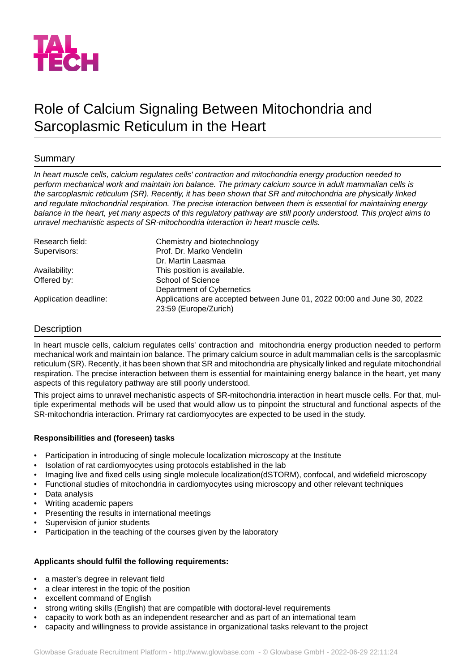

# Role of Calcium Signaling Between Mitochondria and Sarcoplasmic Reticulum in the Heart

# Summary

*In heart muscle cells, calcium regulates cells' contraction and mitochondria energy production needed to perform mechanical work and maintain ion balance. The primary calcium source in adult mammalian cells is the sarcoplasmic reticulum (SR). Recently, it has been shown that SR and mitochondria are physically linked and regulate mitochondrial respiration. The precise interaction between them is essential for maintaining energy balance in the heart, yet many aspects of this regulatory pathway are still poorly understood. This project aims to unravel mechanistic aspects of SR-mitochondria interaction in heart muscle cells.*

| Research field:       | Chemistry and biotechnology                                             |
|-----------------------|-------------------------------------------------------------------------|
| Supervisors:          | Prof. Dr. Marko Vendelin                                                |
|                       | Dr. Martin Laasmaa                                                      |
| Availability:         | This position is available.                                             |
| Offered by:           | School of Science                                                       |
|                       | Department of Cybernetics                                               |
| Application deadline: | Applications are accepted between June 01, 2022 00:00 and June 30, 2022 |
|                       | 23:59 (Europe/Zurich)                                                   |

# **Description**

In heart muscle cells, calcium regulates cells' contraction and mitochondria energy production needed to perform mechanical work and maintain ion balance. The primary calcium source in adult mammalian cells is the sarcoplasmic reticulum (SR). Recently, it has been shown that SR and mitochondria are physically linked and regulate mitochondrial respiration. The precise interaction between them is essential for maintaining energy balance in the heart, yet many aspects of this regulatory pathway are still poorly understood.

This project aims to unravel mechanistic aspects of SR-mitochondria interaction in heart muscle cells. For that, multiple experimental methods will be used that would allow us to pinpoint the structural and functional aspects of the SR-mitochondria interaction. Primary rat cardiomyocytes are expected to be used in the study.

# **Responsibilities and (foreseen) tasks**

- Participation in introducing of single molecule localization microscopy at the Institute
- Isolation of rat cardiomyocytes using protocols established in the lab
- Imaging live and fixed cells using single molecule localization(dSTORM), confocal, and widefield microscopy
- Functional studies of mitochondria in cardiomyocytes using microscopy and other relevant techniques
- Data analysis
- Writing academic papers
- Presenting the results in international meetings
- Supervision of junior students
- Participation in the teaching of the courses given by the laboratory

#### **Applicants should fulfil the following requirements:**

- a master's degree in relevant field
- a clear interest in the topic of the position
- excellent command of English
- strong writing skills (English) that are compatible with doctoral-level requirements
- capacity to work both as an independent researcher and as part of an international team
- capacity and willingness to provide assistance in organizational tasks relevant to the project